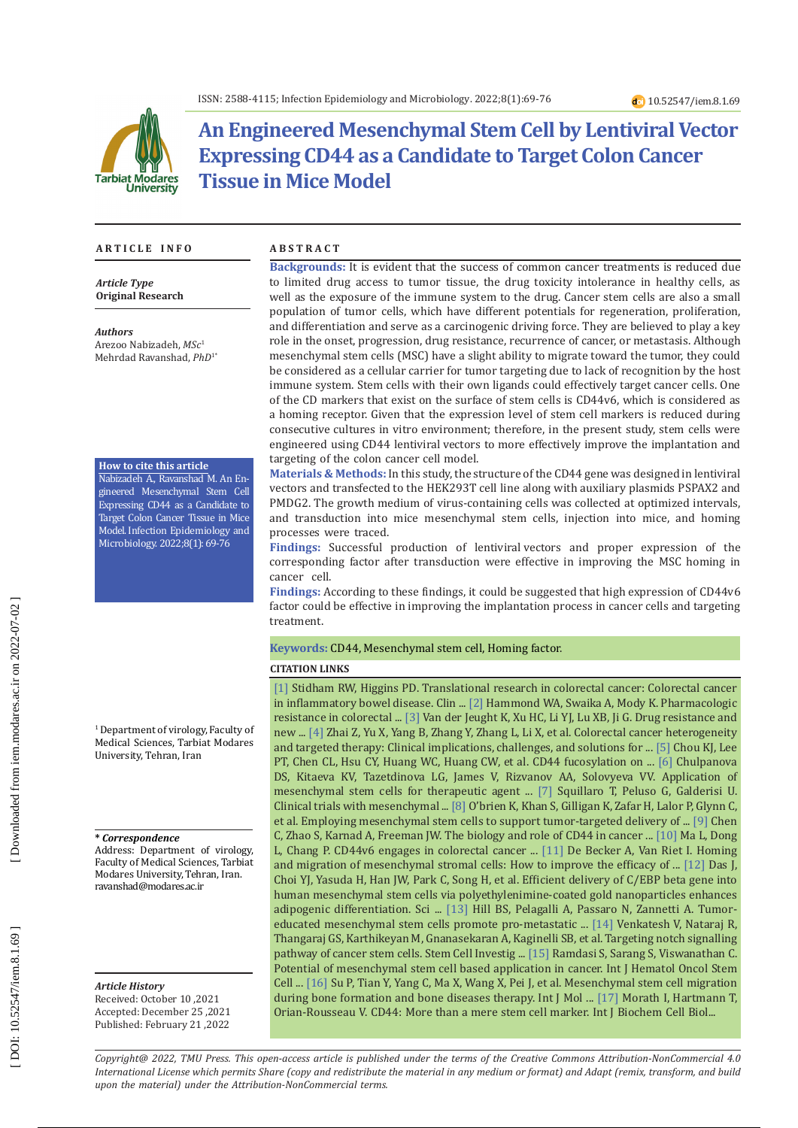

# **An Engineered Mesenchymal Stem Cell by Lentiviral Vector Expressing CD44 as a Candidate to Target Colon Cancer Tissue in Mice Model**

#### **A R T I C L E I N F O A B S T R A C T**

*Article Type* **Original Research**

*Authors* Arezoo Nabizadeh, *MSc* 1 Mehrdad Ravanshad, *PhD* 1 \*

#### **How to cite this article**

Nabizadeh A., Ravanshad M. An En gineered Mesenchymal Stem Cell Expressing CD44 as a Candidate to Target Colon Cancer Tissue in Mice Model. Infection Epidemiology and Microbiology. 2022;8(1): 69-76

1 Department of virology, Faculty of Medical Sciences, Tarbiat Modares University, Tehran, Iran

#### **\*** *Correspondence*

Address: Department of virology, Faculty of Medical Sciences, Tarbiat Modares University, Tehran, Iran. ravanshad@modares.ac.ir

*Article History* Received: October 10 ,2021 Accepted: December 25 ,2021 Published: February 21 ,2022

**Backgrounds:** It is evident that the success of common cancer treatments is reduced due to limited drug access to tumor tissue, the drug toxicity intolerance in healthy cells, as well as the exposure of the immune system to the drug. Cancer stem cells are also a small population of tumor cells, which have different potentials for regeneration, proliferation, and differentiation and serve as a carcinogenic driving force. They are believed to play a key role in the onset, progression, drug resistance, recurrence of cancer, or metastasis. Although mesenchymal stem cells (MSC) have a slight ability to migrate toward the tumor, they could be considered as a cellular carrier for tumor targeting due to lack of recognition by the host immune system. Stem cells with their own ligands could effectively target cancer cells. One of the CD markers that exist on the surface of stem cells is CD44v6, which is considered as a homing receptor. Given that the expression level of stem cell markers is reduced during consecutive cultures in vitro environment; therefore, in the present study, stem cells were engineered using CD44 lentiviral vectors to more effectively improve the implantation and targeting of the colon cancer cell model.

**Materials & Methods:** In this study, the structure of the CD44 gene was designed in lentiviral vectors and transfected to the HEK293T cell line along with auxiliary plasmids PSPAX2 and PMDG2. The growth medium of virus-containing cells was collected at optimized intervals, and transduction into mice mesenchymal stem cells, injection into mice, and homing processes were traced.

**Findings:** Successful production of lentiviral vectors and proper expression of the corresponding factor after transduction were effective in improving the MSC homing in cancer cell.

**Findings:** According to these findings, it could be suggested that high expression of CD44v6 factor could be effective in improving the implantation process in cancer cells and targeting treatment.

#### **Keywords:** CD44, Mesenchymal stem cell, Homing factor.

#### **CITATION LINKS**

[\[1\]](https://www.thieme-connect.com/products/ejournals/html/10.1055/s-0037-1602237) Stidham RW, Higgins PD. Translational research in colorectal cancer: Colorectal cancer in inflammatory bowel disease. Clin ... [\[2\]](https://www.ncbi.nlm.nih.gov/pmc/articles/PMC4699262/) Hammond WA, Swaika A, Mody K. Pharmacologic resistance in colorectal ... [\[3\]](https://www.ncbi.nlm.nih.gov/pmc/articles/PMC6141340/) Van der Jeught K, Xu HC, Li YJ, Lu XB, Ji G. Drug resistance and new ... [\[4\]](https://www.sciencedirect.com/science/article/pii/S1084952116302671) Zhai Z, Yu X, Yang B, Zhang Y, Zhang L, Li X, et al. Colorectal cancer heterogeneity and targeted therapy: Clinical implications, challenges, and solutions for ... [\[5\]](https://www.sciencedirect.com/science/article/pii/S0014482716303834) Chou KJ, Lee PT, Chen CL, Hsu CY, Huang WC, Huang CW, et al. CD44 fucosylation on ... [\[6\]](https://www.frontiersin.org/articles/10.3389/fphar.2018.00259/full) Chulpanova DS, Kitaeva KV, Tazetdinova LG, James V, Rizvanov AA, Solovyeva VV. Application of mesenchymal stem cells for therapeutic agent ... [\[7\]](https://pubmed.ncbi.nlm.nih.gov/26423725/) Squillaro T, Peluso G, Galderisi U. Clinical trials with mesenchymal ... [\[8\]](https://www.nature.com/articles/s41388-017-0116-9) O'brien K, Khan S, Gilligan K, Zafar H, Lalor P, Glynn C, et al. Employing mesenchymal stem cells to support tumor-targeted delivery of ... [\[9\]](https://link.springer.com/article/10.1186/s13045-018-0605-5) Chen C, Zhao S, Karnad A, Freeman JW. The biology and role of CD44 in cancer ... [\[10\]](https://www.nature.com/articles/s41419-018-1265-7) Ma L, Dong L, Chang P. CD44v6 engages in colorectal cancer ... [\[11\]](https://www.ncbi.nlm.nih.gov/pmc/articles/PMC4807311/) De Becker A, Van Riet I. Homing and migration of mesenchymal stromal cells: How to improve the efficacy of ... [\[12\]](https://www.nature.com/articles/srep33784) Das J, Choi YJ, Yasuda H, Han JW, Park C, Song H, et al. Efficient delivery of C/EBP beta gene into human mesenchymal stem cells via polyethylenimine-coated gold nanoparticles enhances adipogenic differentiation. Sci ... [\[13\]](https://www.ncbi.nlm.nih.gov/pmc/articles/pmc5641213/) Hill BS, Pelagalli A, Passaro N, Zannetti A. Tumoreducated mesenchymal stem cells promote pro-metastatic ... [\[14\]](https://www.ncbi.nlm.nih.gov/pmc/articles/PMC5897708/) Venkatesh V, Nataraj R, Thangaraj GS, Karthikeyan M, Gnanasekaran A, Kaginelli SB, et al. Targeting notch signalling pathway of cancer stem cells. Stem Cell Investig ... [\[15\]](https://www.ncbi.nlm.nih.gov/pmc/articles/PMC4410295/) Ramdasi S, Sarang S, Viswanathan C. Potential of mesenchymal stem cell based application in cancer. Int J Hematol Oncol Stem Cell ... [\[16\]](https://www.mdpi.com/325672) Su P, Tian Y, Yang C, Ma X, Wang X, Pei J, et al. Mesenchymal stem cell migration during bone formation and bone diseases therapy. Int J Mol ... [\[17\]](https://www.sciencedirect.com/science/article/pii/S1357272516302710) Morath I, Hartmann T, Orian-Rousseau V. CD44: More than a mere stem cell marker. Int J Biochem Cell Biol...

*Copyright@ 2022, TMU Press. This open-access article is published under the terms of the Creative Commons Attribution-NonCommercial 4.0 International License which permits Share (copy and redistribute the material in any medium or format) and Adapt (remix, transform, and build upon the material) under the Attribution-NonCommercial terms.*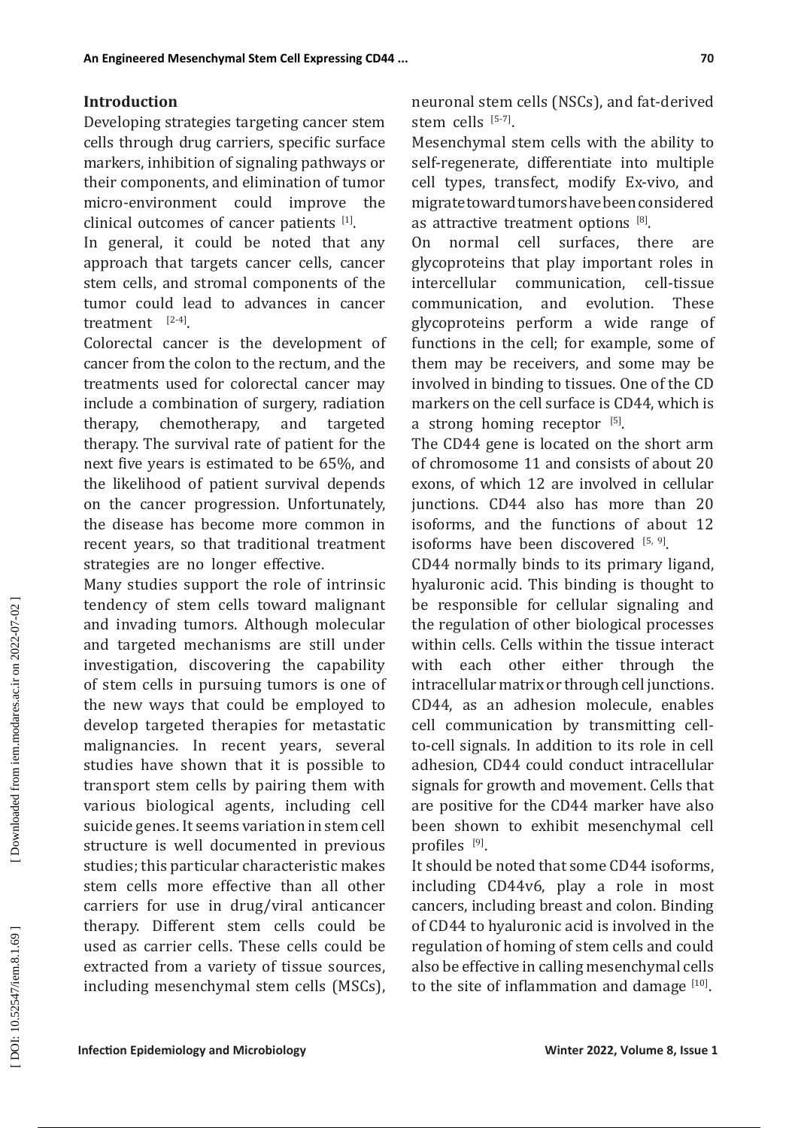## **Introduction**

Developing strategies targeting cancer stem cells through drug carriers, specific surface markers, inhibition of signaling pathways or their components, and elimination of tumor micro-environment could improve the clinical outcomes of cancer patients  $[1]$ .

In general, it could be noted that any approach that targets cancer cells, cancer stem cells, and stromal components of the tumor could lead to advances in cancer treatment  $[2-4]$ .

Colorectal cancer is the development of cancer from the colon to the rectum, and the treatments used for colorectal cancer may include a combination of surgery, radiation<br>therapy, chemotherapy, and targeted therapy, chemotherapy, and targeted therapy. The survival rate of patient for the next five years is estimated to be 65%, and the likelihood of patient survival depends on the cancer progression. Unfortunately, the disease has become more common in recent years, so that traditional treatment strategies are no longer effective.

Many studies support the role of intrinsic tendency of stem cells toward malignant and invading tumors. Although molecular and targeted mechanisms are still under investigation, discovering the capability of stem cells in pursuing tumors is one of the new ways that could be employed to develop targeted therapies for metastatic malignancies. In recent years, several studies have shown that it is possible to transport stem cells by pairing them with various biological agents, including cell suicide genes. It seems variation in stem cell structure is well documented in previous studies; this particular characteristic makes stem cells more effective than all other carriers for use in drug/viral anticancer therapy. Different stem cells could be used as carrier cells. These cells could be extracted from a variety of tissue sources, including mesenchymal stem cells (MSCs),

neuronal stem cells (NSCs), and fat-derived stem cells [5-7].

Mesenchymal stem cells with the ability to self-regenerate, differentiate into multiple cell types, transfect, modify Ex-vivo, and migrate toward tumors have been considered as attractive treatment options  $[8]$ .<br>On normal cell surfaces, there

On normal cell surfaces, there are glycoproteins that play important roles in intercellular communication, cell-tissue<br>communication, and evolution. These and evolution. glycoproteins perform a wide range of functions in the cell; for example, some of them may be receivers, and some may be involved in binding to tissues. One of the CD markers on the cell surface is CD44, which is a strong homing receptor  $[5]$ .

The CD44 gene is located on the short arm of chromosome 11 and consists of about 20 exons, of which 12 are involved in cellular junctions. CD44 also has more than 20 isoforms, and the functions of about 12 isoforms have been discovered  $[5, 9]$ .

CD44 normally binds to its primary ligand, hyaluronic acid. This binding is thought to be responsible for cellular signaling and the regulation of other biological processes within cells. Cells within the tissue interact with each other either through the intracellular matrix or through cell junctions. CD44, as an adhesion molecule, enables cell communication by transmitting cellto-cell signals. In addition to its role in cell adhesion, CD44 could conduct intracellular signals for growth and movement. Cells that are positive for the CD44 marker have also been shown to exhibit mesenchymal cell profiles <sup>[9]</sup>.

It should be noted that some CD44 isoforms, including CD44v6, play a role in most cancers, including breast and colon. Binding of CD44 to hyaluronic acid is involved in the regulation of homing of stem cells and could also be effective in calling mesenchymal cells to the site of inflammation and damage  $[10]$ .

DOI: 10.52547/iem.8.1.69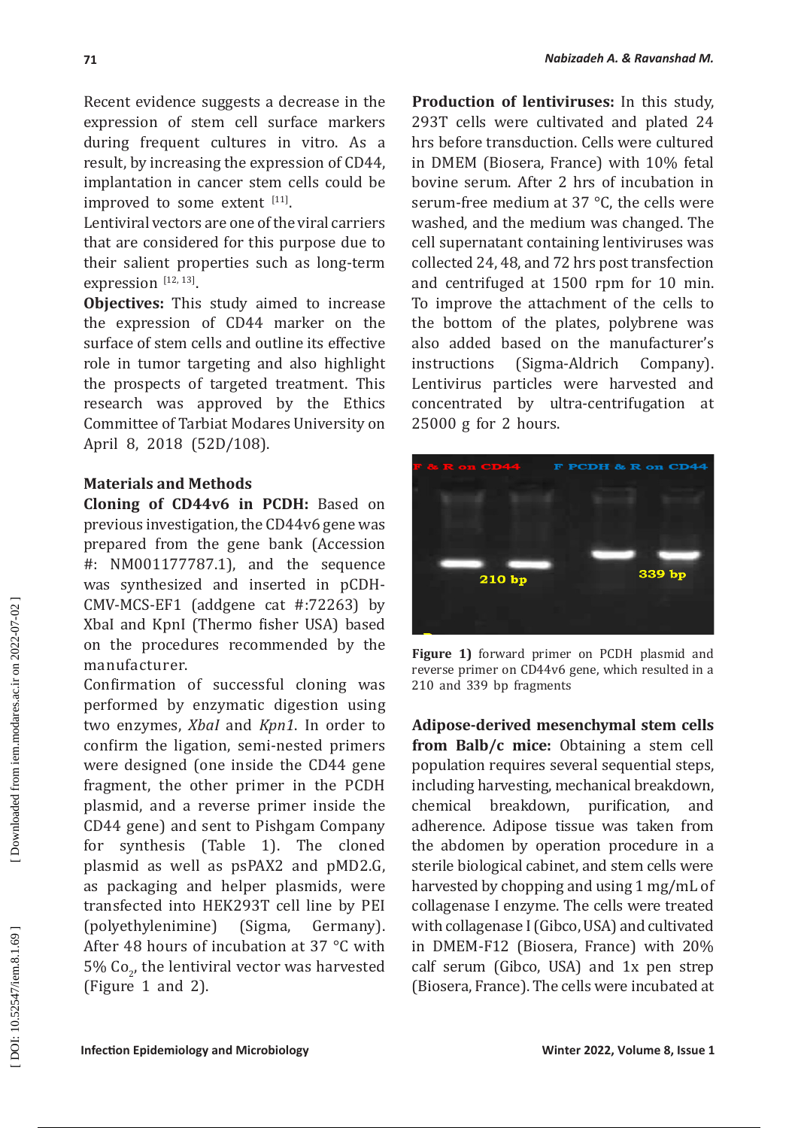Recent evidence suggests a decrease in the expression of stem cell surface markers during frequent cultures in vitro. As a result, by increasing the expression of CD44, implantation in cancer stem cells could be improved to some extent  $[11]$ .

Lentiviral vectors are one of the viral carriers that are considered for this purpose due to their salient properties such as long-term expression  $[12, 13]$ .

**Objectives:** This study aimed to increase the expression of CD44 marker on the surface of stem cells and outline its effective role in tumor targeting and also highlight the prospects of targeted treatment. This research was approved by the Ethics Committee of Tarbiat Modares University on April 8, 2018 (52D/108).

## **Materials and Methods**

**Cloning of CD44v6 in PCDH:** Based on previous investigation, the CD44v6 gene was prepared from the gene bank (Accession #: NM001177787.1), and the sequence was synthesized and inserted in pCDH-CMV-MCS-EF1 (addgene cat #:72263) by XbaI and KpnI (Thermo fisher USA) based on the procedures recommended by the manufacturer.

Confirmation of successful cloning was performed by enzymatic digestion using two enzymes, *XbaI* and *Kpn1*. In order to confirm the ligation, semi-nested primers were designed (one inside the CD44 gene fragment, the other primer in the PCDH plasmid, and a reverse primer inside the CD44 gene) and sent to Pishgam Company for synthesis (Table 1). The cloned plasmid as well as psPAX2 and pMD2.G, as packaging and helper plasmids, were transfected into HEK293T cell line by PEI (polyethylenimine) (Sigma, Germany). After 48 hours of incubation at 37 °C with 5% Co , the lentiviral vector was harvested 2 (Figure 1 and 2).

**Production of lentiviruses:** In this study, 293T cells were cultivated and plated 24 hrs before transduction. Cells were cultured in DMEM (Biosera, France) with 10% fetal bovine serum. After 2 hrs of incubation in serum-free medium at 37 °C, the cells were washed, and the medium was changed. The cell supernatant containing lentiviruses was collected 24, 48, and 72 hrs post transfection and centrifuged at 1500 rpm for 10 min. To improve the attachment of the cells to the bottom of the plates, polybrene was also added based on the manufacturer's<br>instructions (Sigma-Aldrich Company). (Sigma-Aldrich Company). Lentivirus particles were harvested and concentrated by ultra-centrifugation at 25000 g for 2 hours.



**Figure 1)** forward primer on PCDH plasmid and reverse primer on CD44v6 gene, which resulted in a 210 and 339 bp fragments

**Adipose-derived mesenchymal stem cells from Balb/c mice:** Obtaining a stem cell population requires several sequential steps, including harvesting, mechanical breakdown,<br>chemical breakdown, purification, and chemical breakdown, purification, and adherence. Adipose tissue was taken from the abdomen by operation procedure in a sterile biological cabinet, and stem cells were harvested by chopping and using 1 mg/mL of collagenase I enzyme. The cells were treated with collagenase I (Gibco, USA) and cultivated in DMEM-F12 (Biosera, France) with 20% calf serum (Gibco, USA) and 1x pen strep (Biosera, France). The cells were incubated at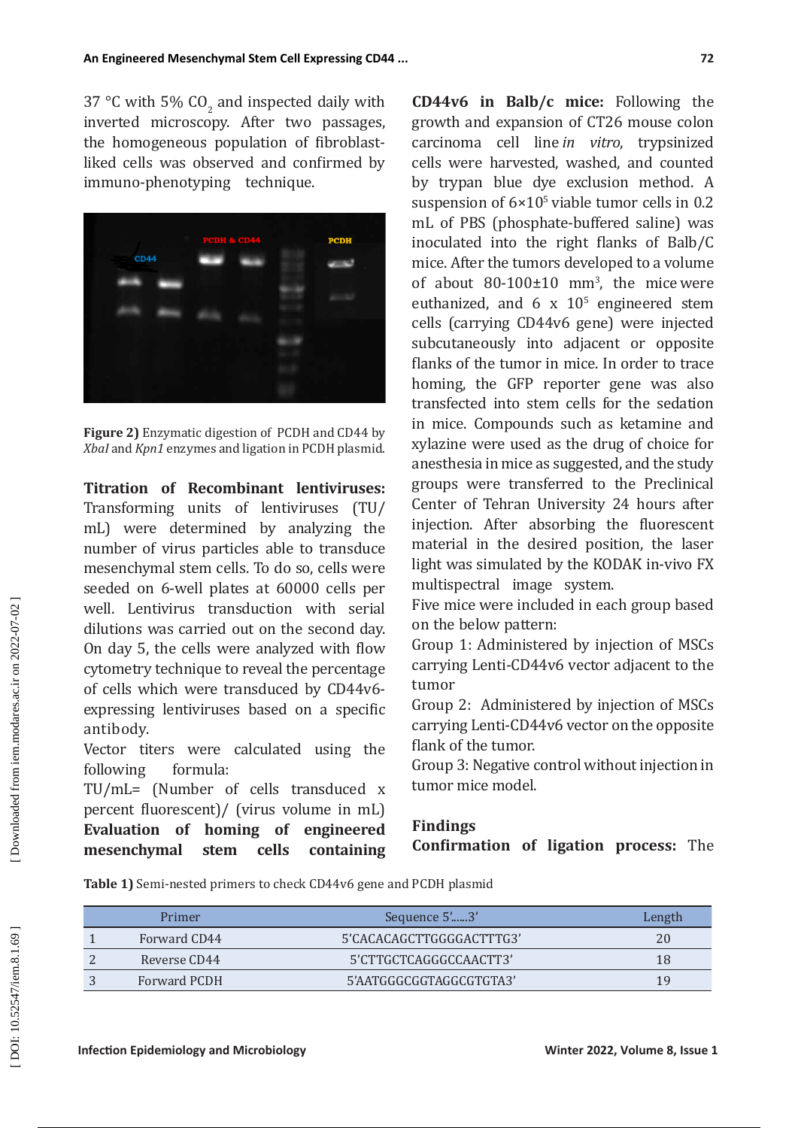$37^{\circ}$ C with 5% CO<sub>2</sub> and inspected daily with inverted microscopy. After two passages, the homogeneous population of fibroblastliked cells was observed and confirmed by immuno -phenotyping technique.



**Figure 2)** Enzymatic digestion of PCDH and CD44 by *XbaI* and *Kpn1* enzymes and ligation in PCDH plasmid.

**Titration of Recombinant lentiviruses:**  Transforming units of lentiviruses (TU/ mL) were determined by analyzing the number of virus particles able to transduce mesenchymal stem cells. To do so, cells were seeded on 6-well plates at 60000 cells per well. Lentivirus transduction with serial dilutions was carried out on the second day. On day 5, the cells were analyzed with flow cytometry technique to reveal the percentage of cells which were transduced by CD44v6 expressing lentiviruses based on a specific antibody.

Vector titers were calculated using the following formula: following

TU/mL= (Number of cells transduced x percent fluorescent)/ (virus volume in mL) **Evaluation of homing of engineered mesenchymal stem cells containing** 

**CD44v6 in Balb/c mice:** Following the growth and expansion of CT26 mouse colon carcinoma cell line *in vitro*, trypsinized cells were harvested, washed, and counted by trypan blue dye exclusion method. A suspension of  $6\times10^5$  viable tumor cells in 0.2 mL of PBS (phosphate-buffered saline) was inoculated into the right flanks of Balb/C mice. After the tumors developed to a volume of about  $80-100 \pm 10$  mm<sup>3</sup>, the mice were euthanized, and 6 x 10 5 engineered stem cells (carrying CD44v6 gene) were injected subcutaneously into adjacent or opposite flanks of the tumor in mice. In order to trace homing, the GFP reporter gene was also transfected into stem cells for the sedation in mice. Compounds such as ketamine and xylazine were used as the drug of choice for anesthesia in mice as suggested, and the study groups were transferred to the Preclinical Center of Tehran University 24 hours after injection. After absorbing the fluorescent material in the desired position, the laser light was simulated by the KODAK in-vivo FX multispectral image system.

Five mice were included in each group based on the below pattern:

Group 1: Administered by injection of MSCs carrying Lenti-CD44v6 vector adjacent to the tumor

Group 2: Administered by injection of MSCs carrying Lenti-CD44v6 vector on the opposite flank of the tumor.

Group 3: Negative control without injection in tumor mice model.

## **Findings**

**Confirmation of ligation process:** The

**Table 1)** Semi-nested primers to check CD44v6 gene and PCDH plasmid

| Primer       | Sequence 5'3'            | Length |
|--------------|--------------------------|--------|
| Forward CD44 | 5'CACACAGCTTGGGGACTTTG3' | 20     |
| Reverse CD44 | 5'CTTGCTCAGGGCCAACTT3'   | 18     |
| Forward PCDH | 5'AATGGGCGGTAGGCGTGTA3'  | 19     |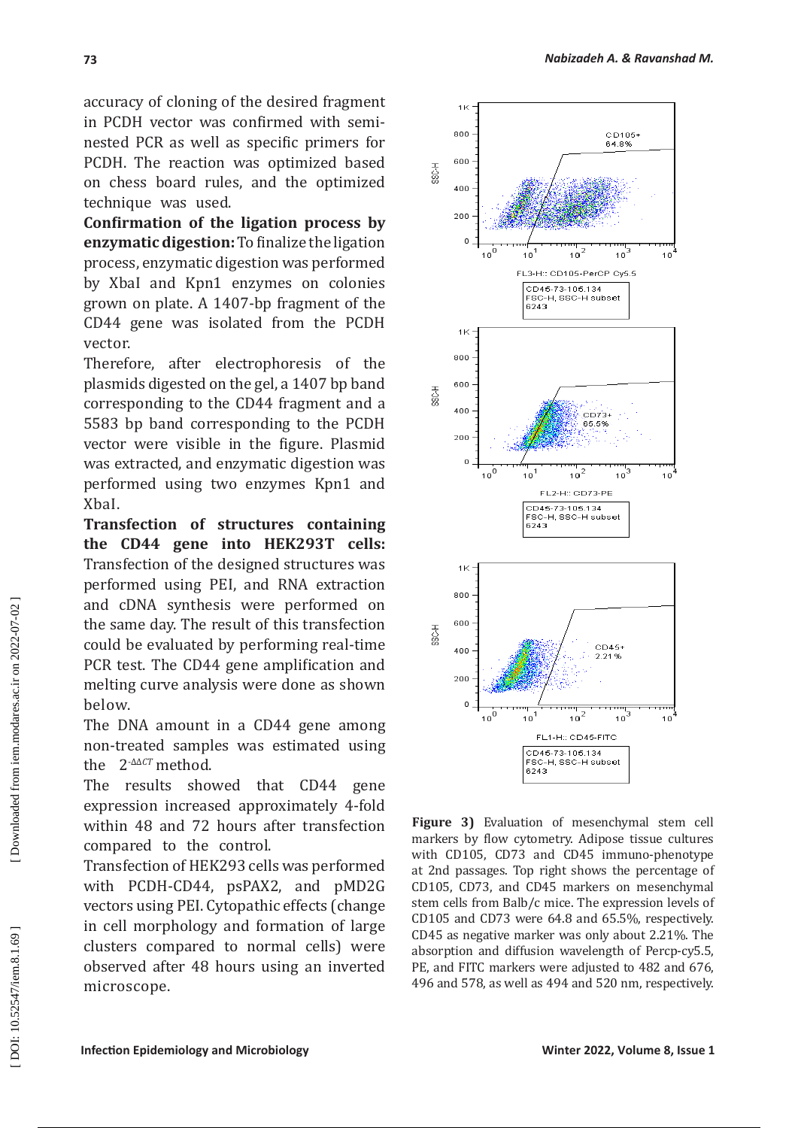accuracy of cloning of the desired fragment in PCDH vector was confirmed with seminested PCR as well as specific primers for PCDH. The reaction was optimized based on chess board rules, and the optimized technique was used.

**Confirmation of the ligation process by enzymatic digestion:** To finalize the ligation process, enzymatic digestion was performed by XbaI and Kpn1 enzymes on colonies grown on plate. A 1407-bp fragment of the CD44 gene was isolated from the PCDH vector.

Therefore, after electrophoresis of the plasmids digested on the gel, a 1407 bp band corresponding to the CD44 fragment and a 5583 bp band corresponding to the PCDH vector were visible in the figure. Plasmid was extracted, and enzymatic digestion was performed using two enzymes Kpn1 and XbaI.

**Transfection of structures containing the CD44 gene into HEK293T cells:**  Transfection of the designed structures was performed using PEI, and RNA extraction and cDNA synthesis were performed on the same day. The result of this transfection could be evaluated by performing real-time PCR test. The CD44 gene amplification and melting curve analysis were done as shown below.

The DNA amount in a CD44 gene among non-treated samples was estimated using the 2-ΔΔ*CT* method.

The results showed that CD44 gene expression increased approximately 4-fold within 48 and 72 hours after transfection compared to the control.

Transfection of HEK293 cells was performed with PCDH-CD44, psPAX2, and pMD2G vectors using PEI. Cytopathic effects (change in cell morphology and formation of large clusters compared to normal cells) were observed after 48 hours using an inverted microscope.



**Figure 3)** Evaluation of mesenchymal stem cell markers by flow cytometry. Adipose tissue cultures with CD105, CD73 and CD45 immuno-phenotype at 2nd passages. Top right shows the percentage of CD105, CD73, and CD45 markers on mesenchymal stem cells from Balb/c mice. The expression levels of CD105 and CD73 were 64.8 and 65.5%, respectively. CD45 as negative marker was only about 2.21%. The absorption and diffusion wavelength of Percp-cy5.5, PE, and FITC markers were adjusted to 482 and 676, 496 and 578, as well as 494 and 520 nm, respectively.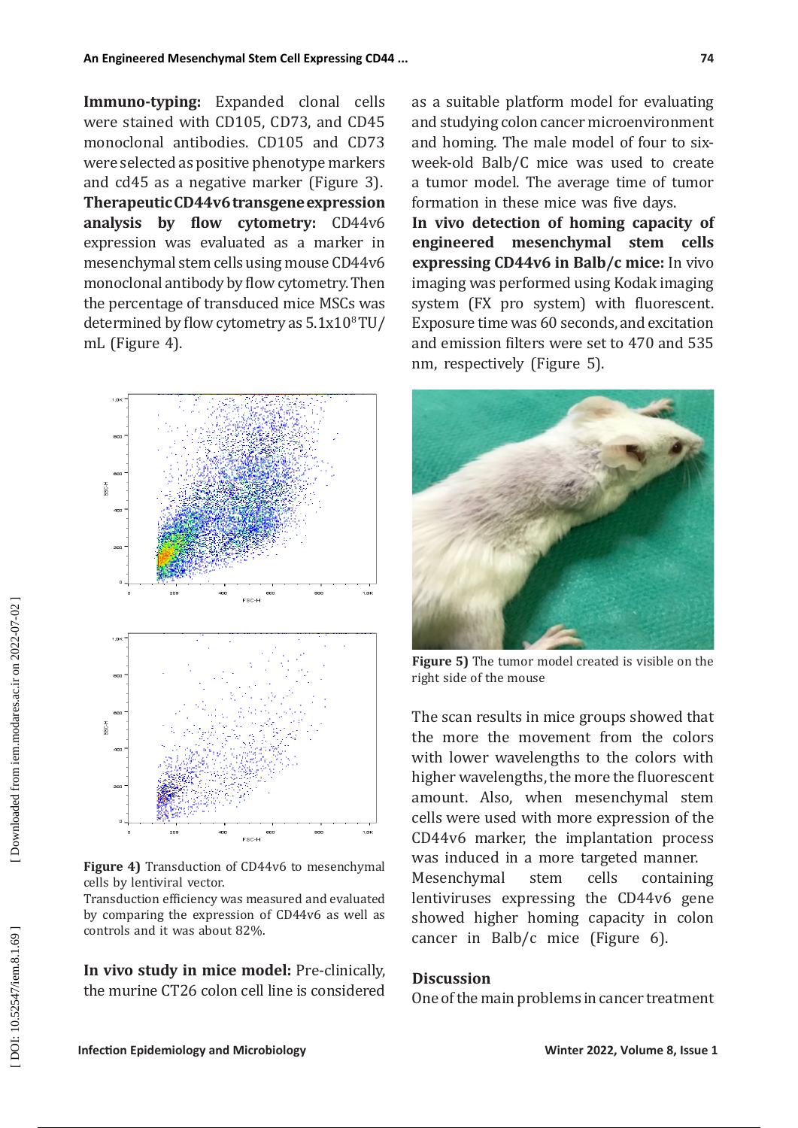**Immuno-typing:** Expanded clonal cells were stained with CD105, CD73, and CD45 monoclonal antibodies. CD105 and CD73 were selected as positive phenotype markers and cd45 as a negative marker (Figure 3). **Therapeutic CD44v6 transgene expression analysis by flow cytometry:** CD44v6 expression was evaluated as a marker in mesenchymal stem cells using mouse CD44v6 monoclonal antibody by flow cytometry. Then the percentage of transduced mice MSCs was determined by flow cytometry as  $5.1x10<sup>8</sup> T U/$ mL (Figure 4).



**Figure 4)** Transduction of CD44v6 to mesenchymal cells by lentiviral vector.

Transduction efficiency was measured and evaluated by comparing the expression of CD44v6 as well as controls and it was about 82%.

**In vivo study in mice model:** Pre-clinically, the murine CT26 colon cell line is considered as a suitable platform model for evaluating and studying colon cancer microenvironment and homing. The male model of four to sixweek-old Balb/C mice was used to create a tumor model. The average time of tumor formation in these mice was five days.

**In vivo detection of homing capacity of engineered mesenchymal stem cells expressing CD44v6 in Balb/c mice:** In vivo imaging was performed using Kodak imaging system (FX pro system) with fluorescent. Exposure time was 60 seconds, and excitation and emission filters were set to 470 and 535 nm, respectively (Figure 5).



**Figure 5)** The tumor model created is visible on the right side of the mouse

The scan results in mice groups showed that the more the movement from the colors with lower wavelengths to the colors with higher wavelengths, the more the fluorescent amount. Also, when mesenchymal stem cells were used with more expression of the CD44v6 marker, the implantation process was induced in a more targeted manner.<br>Mesenchymal stem cells containing Mesenchymal stem cells containing lentiviruses expressing the CD44v6 gene showed higher homing capacity in colon

## **Discussion**

One of the main problems in cancer treatment

cancer in Balb/c mice (Figure 6).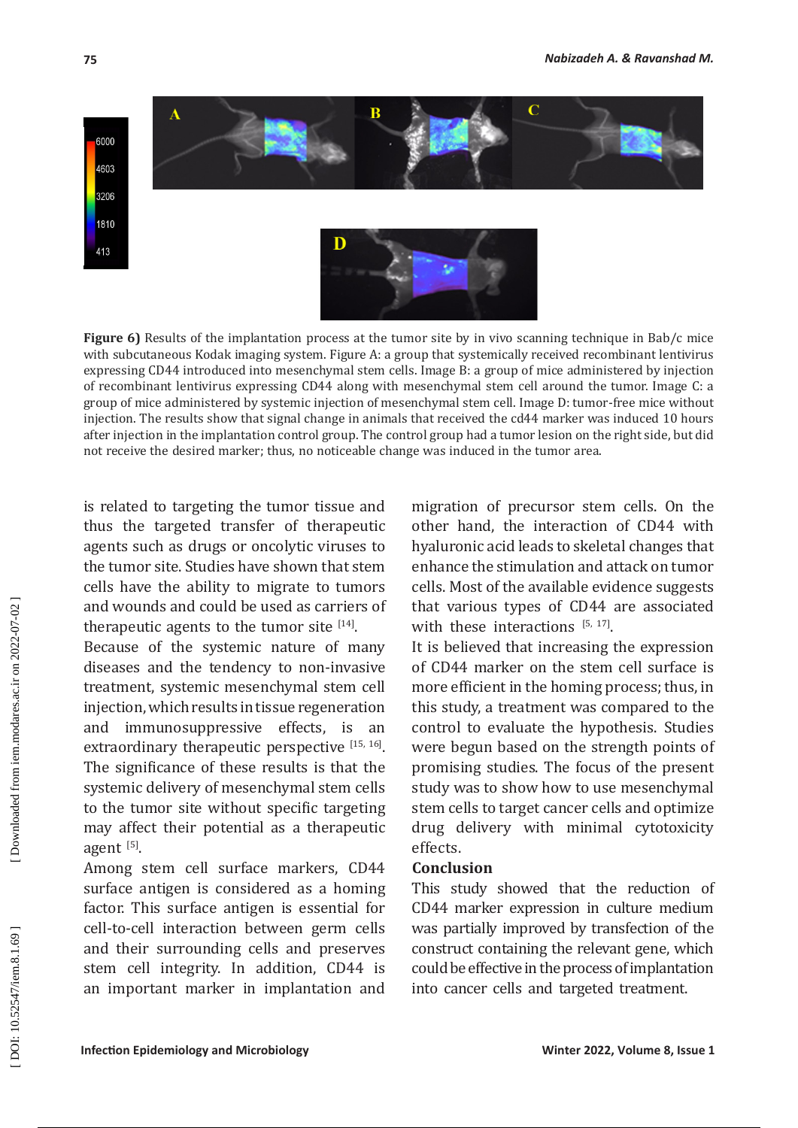

**Figure 6)** Results of the implantation process at the tumor site by in vivo scanning technique in Bab/c mice with subcutaneous Kodak imaging system. Figure A: a group that systemically received recombinant lentivirus expressing CD44 introduced into mesenchymal stem cells. Image B: a group of mice administered by injection of recombinant lentivirus expressing CD44 along with mesenchymal stem cell around the tumor. Image C: a group of mice administered by systemic injection of mesenchymal stem cell. Image D: tumor-free mice without injection. The results show that signal change in animals that received the cd44 marker was induced 10 hours after injection in the implantation control group. The control group had a tumor lesion on the right side, but did not receive the desired marker; thus, no noticeable change was induced in the tumor area.

is related to targeting the tumor tissue and thus the targeted transfer of therapeutic agents such as drugs or oncolytic viruses to the tumor site. Studies have shown that stem cells have the ability to migrate to tumors and wounds and could be used as carriers of therapeutic agents to the tumor site  $[14]$ .

Because of the systemic nature of many diseases and the tendency to non-invasive treatment, systemic mesenchymal stem cell injection, which results in tissue regeneration and immunosuppressive effects, is an extraordinary therapeutic perspective  $[15, 16]$ . The significance of these results is that the systemic delivery of mesenchymal stem cells to the tumor site without specific targeting may affect their potential as a therapeutic agent [5].

Among stem cell surface markers, CD44 surface antigen is considered as a homing factor. This surface antigen is essential for cell-to-cell interaction between germ cells and their surrounding cells and preserves stem cell integrity. In addition, CD44 is an important marker in implantation and migration of precursor stem cells. On the other hand, the interaction of CD44 with hyaluronic acid leads to skeletal changes that enhance the stimulation and attack on tumor cells. Most of the available evidence suggests that various types of CD44 are associated with these interactions  $[5, 17]$ .

It is believed that increasing the expression of CD44 marker on the stem cell surface is more efficient in the homing process; thus, in this study, a treatment was compared to the control to evaluate the hypothesis. Studies were begun based on the strength points of promising studies . The focus of the present study was to show how to use mesenchymal stem cells to target cancer cells and optimize drug delivery with minimal cytotoxicity effects.

### **Conclusion**

This study showed that the reduction of CD44 marker expression in culture medium was partially improved by transfection of the construct containing the relevant gene, which could be effective in the process of implantation into cancer cells and targeted treatment.